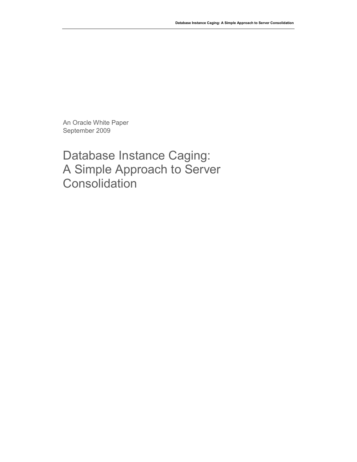An Oracle White Paper September 2009

Database Instance Caging: A Simple Approach to Server **Consolidation**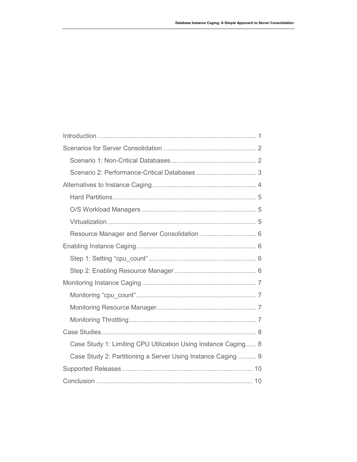| Case Study 1: Limiting CPU Utilization Using Instance Caging 8 |
|----------------------------------------------------------------|
| Case Study 2: Partitioning a Server Using Instance Caging  9   |
|                                                                |
|                                                                |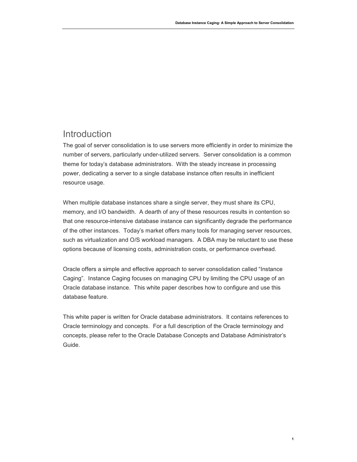# Introduction

The goal of server consolidation is to use servers more efficiently in order to minimize the number of servers, particularly under-utilized servers. Server consolidation is a common theme for today's database administrators. With the steady increase in processing power, dedicating a server to a single database instance often results in inefficient resource usage.

When multiple database instances share a single server, they must share its CPU, memory, and I/O bandwidth. A dearth of any of these resources results in contention so that one resource-intensive database instance can significantly degrade the performance of the other instances. Today's market offers many tools for managing server resources, such as virtualization and O/S workload managers. A DBA may be reluctant to use these options because of licensing costs, administration costs, or performance overhead.

Oracle offers a simple and effective approach to server consolidation called "Instance Caging". Instance Caging focuses on managing CPU by limiting the CPU usage of an Oracle database instance. This white paper describes how to configure and use this database feature.

This white paper is written for Oracle database administrators. It contains references to Oracle terminology and concepts. For a full description of the Oracle terminology and concepts, please refer to the Oracle Database Concepts and Database Administrator's Guide.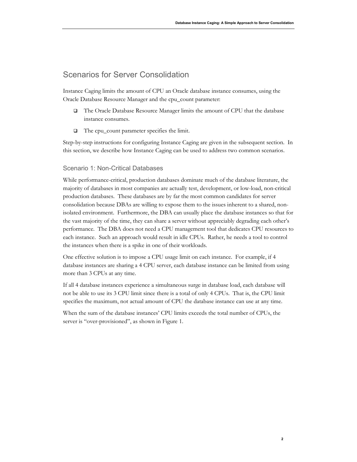# Scenarios for Server Consolidation

Instance Caging limits the amount of CPU an Oracle database instance consumes, using the Oracle Database Resource Manager and the cpu\_count parameter:

- The Oracle Database Resource Manager limits the amount of CPU that the database instance consumes.
- The cpu\_count parameter specifies the limit.

Step-by-step instructions for configuring Instance Caging are given in the subsequent section. In this section, we describe how Instance Caging can be used to address two common scenarios.

### Scenario 1: Non-Critical Databases

While performance-critical, production databases dominate much of the database literature, the majority of databases in most companies are actually test, development, or low-load, non-critical production databases. These databases are by far the most common candidates for server consolidation because DBAs are willing to expose them to the issues inherent to a shared, nonisolated environment. Furthermore, the DBA can usually place the database instances so that for the vast majority of the time, they can share a server without appreciably degrading each other's performance. The DBA does not need a CPU management tool that dedicates CPU resources to each instance. Such an approach would result in idle CPUs. Rather, he needs a tool to control the instances when there is a spike in one of their workloads.

One effective solution is to impose a CPU usage limit on each instance. For example, if 4 database instances are sharing a 4 CPU server, each database instance can be limited from using more than 3 CPUs at any time.

If all 4 database instances experience a simultaneous surge in database load, each database will not be able to use its 3 CPU limit since there is a total of only 4 CPUs. That is, the CPU limit specifies the maximum, not actual amount of CPU the database instance can use at any time.

When the sum of the database instances' CPU limits exceeds the total number of CPUs, the server is "over-provisioned", as shown in Figure 1.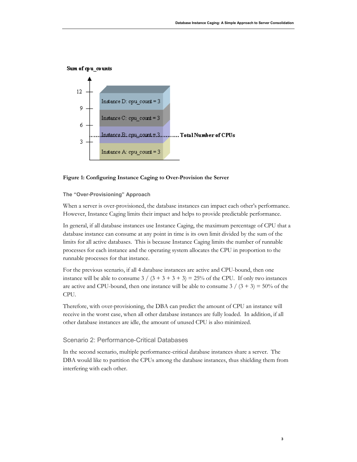



#### **Figure 1: Configuring Instance Caging to Over-Provision the Server**

#### **The "Over-Provisioning" Approach**

When a server is over-provisioned, the database instances can impact each other's performance. However, Instance Caging limits their impact and helps to provide predictable performance.

In general, if all database instances use Instance Caging, the maximum percentage of CPU that a database instance can consume at any point in time is its own limit divided by the sum of the limits for all active databases. This is because Instance Caging limits the number of runnable processes for each instance and the operating system allocates the CPU in proportion to the runnable processes for that instance.

For the previous scenario, if all 4 database instances are active and CPU-bound, then one instance will be able to consume  $3 / (3 + 3 + 3 + 3) = 25\%$  of the CPU. If only two instances are active and CPU-bound, then one instance will be able to consume  $3/(3 + 3) = 50\%$  of the CPU.

Therefore, with over-provisioning, the DBA can predict the amount of CPU an instance will receive in the worst case, when all other database instances are fully loaded. In addition, if all other database instances are idle, the amount of unused CPU is also minimized.

### Scenario 2: Performance-Critical Databases

In the second scenario, multiple performance-critical database instances share a server. The DBA would like to partition the CPUs among the database instances, thus shielding them from interfering with each other.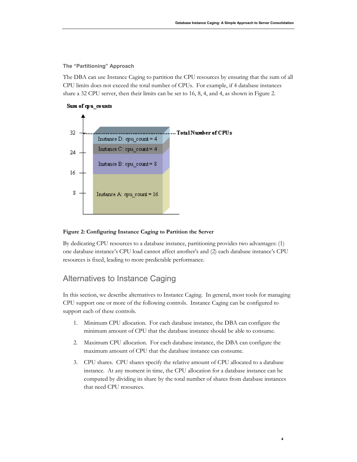**The "Partitioning" Approach** 

The DBA can use Instance Caging to partition the CPU resources by ensuring that the sum of all CPU limits does not exceed the total number of CPUs. For example, if 4 database instances share a 32 CPU server, then their limits can be set to 16, 8, 4, and 4, as shown in Figure 2.



### **Figure 2: Configuring Instance Caging to Partition the Server**

By dedicating CPU resources to a database instance, partitioning provides two advantages: (1) one database instance's CPU load cannot affect another's and (2) each database instance's CPU resources is fixed, leading to more predictable performance.

# Alternatives to Instance Caging

In this section, we describe alternatives to Instance Caging. In general, most tools for managing CPU support one or more of the following controls. Instance Caging can be configured to support each of these controls.

- 1. Minimum CPU allocation. For each database instance, the DBA can configure the minimum amount of CPU that the database instance should be able to consume.
- 2. Maximum CPU allocation. For each database instance, the DBA can configure the maximum amount of CPU that the database instance can consume.
- 3. CPU shares. CPU shares specify the relative amount of CPU allocated to a database instance. At any moment in time, the CPU allocation for a database instance can be computed by dividing its share by the total number of shares from database instances that need CPU resources.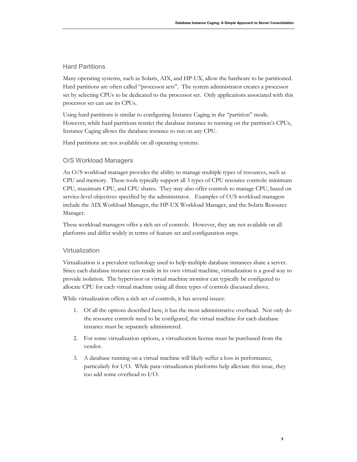## Hard Partitions

Many operating systems, such as Solaris, AIX, and HP-UX, allow the hardware to be partitioned. Hard partitions are often called "processor sets". The system administrator creates a processor set by selecting CPUs to be dedicated to the processor set. Only applications associated with this processor set can use its CPUs.

Using hard partitions is similar to configuring Instance Caging in the "partition" mode. However, while hard partitions restrict the database instance to running on the partition's CPUs, Instance Caging allows the database instance to run on any CPU.

Hard partitions are not available on all operating systems.

### O/S Workload Managers

An O/S workload manager provides the ability to manage multiple types of resources, such as CPU and memory. These tools typically support all 3 types of CPU resource controls: minimum CPU, maximum CPU, and CPU shares. They may also offer controls to manage CPU, based on service-level objectives specified by the administrator. Examples of O/S workload managers include the AIX Workload Manager, the HP-UX Workload Manager, and the Solaris Resource Manager.

These workload managers offer a rich set of controls. However, they are not available on all platforms and differ widely in terms of feature set and configuration steps.

### Virtualization

Virtualization is a prevalent technology used to help multiple database instances share a server. Since each database instance can reside in its own virtual machine, virtualization is a good way to provide isolation. The hypervisor or virtual machine monitor can typically be configured to allocate CPU for each virtual machine using all three types of controls discussed above.

While virtualization offers a rich set of controls, it has several issues:

- 1. Of all the options described here, it has the most administrative overhead. Not only do the resource controls need to be configured, the virtual machine for each database instance must be separately administered.
- 2. For some virtualization options, a virtualization license must be purchased from the vendor.
- 3. A database running on a virtual machine will likely suffer a loss in performance, particularly for I/O. While para-virtualization platforms help alleviate this issue, they too add some overhead to I/O.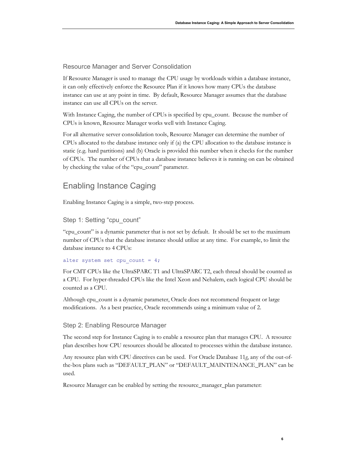Resource Manager and Server Consolidation

If Resource Manager is used to manage the CPU usage by workloads within a database instance, it can only effectively enforce the Resource Plan if it knows how many CPUs the database instance can use at any point in time. By default, Resource Manager assumes that the database instance can use all CPUs on the server.

With Instance Caging, the number of CPUs is specified by cpu\_count. Because the number of CPUs is known, Resource Manager works well with Instance Caging.

For all alternative server consolidation tools, Resource Manager can determine the number of CPUs allocated to the database instance only if (a) the CPU allocation to the database instance is static (e.g. hard partitions) and (b) Oracle is provided this number when it checks for the number of CPUs. The number of CPUs that a database instance believes it is running on can be obtained by checking the value of the "cpu\_count" parameter.

# Enabling Instance Caging

Enabling Instance Caging is a simple, two-step process.

Step 1: Setting "cpu\_count"

"cpu\_count" is a dynamic parameter that is not set by default. It should be set to the maximum number of CPUs that the database instance should utilize at any time. For example, to limit the database instance to 4 CPUs:

```
alter system set cpu count = 4;
```
For CMT CPUs like the UltraSPARC T1 and UltraSPARC T2, each thread should be counted as a CPU. For hyper-threaded CPUs like the Intel Xeon and Nehalem, each logical CPU should be counted as a CPU.

Although cpu\_count is a dynamic parameter, Oracle does not recommend frequent or large modifications. As a best practice, Oracle recommends using a minimum value of 2.

### Step 2: Enabling Resource Manager

The second step for Instance Caging is to enable a resource plan that manages CPU. A resource plan describes how CPU resources should be allocated to processes within the database instance.

Any resource plan with CPU directives can be used. For Oracle Database 11*g*, any of the out-ofthe-box plans such as "DEFAULT\_PLAN" or "DEFAULT\_MAINTENANCE\_PLAN" can be used.

Resource Manager can be enabled by setting the resource\_manager\_plan parameter: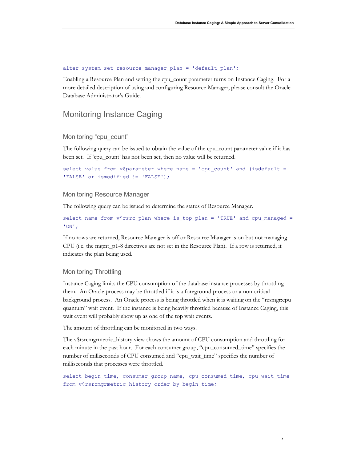```
alter system set resource manager plan = 'default plan';
```
Enabling a Resource Plan and setting the cpu\_count parameter turns on Instance Caging. For a more detailed description of using and configuring Resource Manager, please consult the Oracle Database Administrator's Guide.

# Monitoring Instance Caging

#### Monitoring "cpu\_count"

The following query can be issued to obtain the value of the cpu\_count parameter value if it has been set. If 'cpu\_count' has not been set, then no value will be returned.

```
select value from v$parameter where name = 'cpu count' and (isdefault =
'FALSE' or ismodified != 'FALSE');
```
# Monitoring Resource Manager

The following query can be issued to determine the status of Resource Manager.

```
select name from v$rsrc plan where is top plan = 'TRUE' and cpu managed =
'ON';
```
If no rows are returned, Resource Manager is off or Resource Manager is on but not managing CPU (i.e. the mgmt\_p1-8 directives are not set in the Resource Plan). If a row is returned, it indicates the plan being used.

#### Monitoring Throttling

Instance Caging limits the CPU consumption of the database instance processes by throttling them. An Oracle process may be throttled if it is a foreground process or a non-critical background process. An Oracle process is being throttled when it is waiting on the "resmgr:cpu quantum" wait event. If the instance is being heavily throttled because of Instance Caging, this wait event will probably show up as one of the top wait events.

The amount of throttling can be monitored in two ways.

The v\$rsrcmgrmetric\_history view shows the amount of CPU consumption and throttling for each minute in the past hour. For each consumer group, "cpu\_consumed\_time" specifies the number of milliseconds of CPU consumed and "cpu\_wait\_time" specifies the number of milliseconds that processes were throttled.

```
select begin_time, consumer_group_name, cpu_consumed_time, cpu_wait time
from v$rsrcmgrmetric_history order by begin_time;
```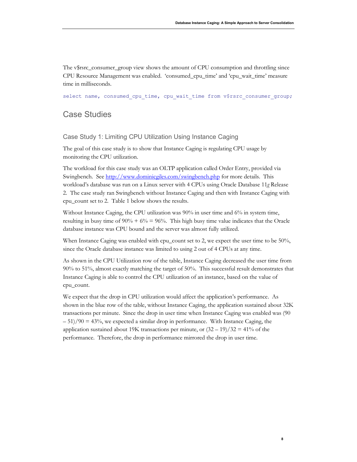The v\$rsrc\_consumer\_group view shows the amount of CPU consumption and throttling since CPU Resource Management was enabled. 'consumed\_cpu\_time' and 'cpu\_wait\_time' measure time in milliseconds.

select name, consumed\_cpu\_time, cpu\_wait\_time from v\$rsrc\_consumer\_group;

# Case Studies

### Case Study 1: Limiting CPU Utilization Using Instance Caging

The goal of this case study is to show that Instance Caging is regulating CPU usage by monitoring the CPU utilization.

The workload for this case study was an OLTP application called Order Entry, provided via Swingbench. See http://www.dominicgiles.com/swingbench.php for more details. This workload's database was run on a Linux server with 4 CPUs using Oracle Database 11*g* Release 2. The case study ran Swingbench without Instance Caging and then with Instance Caging with cpu\_count set to 2. Table 1 below shows the results.

Without Instance Caging, the CPU utilization was 90% in user time and 6% in system time, resulting in busy time of  $90\% + 6\% = 96\%$ . This high busy time value indicates that the Oracle database instance was CPU bound and the server was almost fully utilized.

When Instance Caging was enabled with cpu\_count set to 2, we expect the user time to be 50%, since the Oracle database instance was limited to using 2 out of 4 CPUs at any time.

As shown in the CPU Utilization row of the table, Instance Caging decreased the user time from 90% to 51%, almost exactly matching the target of 50%. This successful result demonstrates that Instance Caging is able to control the CPU utilization of an instance, based on the value of cpu\_count.

We expect that the drop in CPU utilization would affect the application's performance. As shown in the blue row of the table, without Instance Caging, the application sustained about 32K transactions per minute. Since the drop in user time when Instance Caging was enabled was (90  $-51/90 = 43\%$ , we expected a similar drop in performance. With Instance Caging, the application sustained about 19K transactions per minute, or  $(32 - 19)/32 = 41\%$  of the performance. Therefore, the drop in performance mirrored the drop in user time.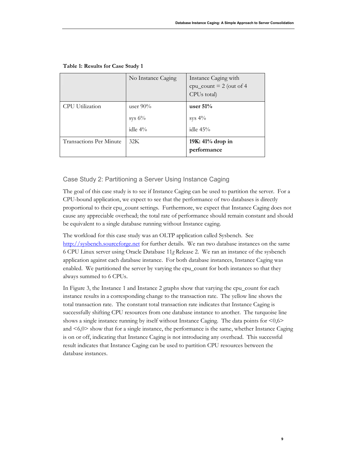|                         | No Instance Caging                     | Instance Caging with<br>$cpu\_count = 2$ (out of 4<br>CPUs total) |
|-------------------------|----------------------------------------|-------------------------------------------------------------------|
| CPU Utilization         | user $90\%$<br>sys $6\%$<br>idle $4\%$ | user $51%$<br>sys $4\%$<br>idle $45%$                             |
| Transactions Per Minute | 32K                                    | 19K: 41% drop in<br>performance                                   |

#### **Table 1: Results for Case Study 1**

# Case Study 2: Partitioning a Server Using Instance Caging

The goal of this case study is to see if Instance Caging can be used to partition the server. For a CPU-bound application, we expect to see that the performance of two databases is directly proportional to their cpu\_count settings. Furthermore, we expect that Instance Caging does not cause any appreciable overhead; the total rate of performance should remain constant and should be equivalent to a single database running without Instance caging.

The workload for this case study was an OLTP application called Sysbench. See http://sysbench.sourceforge.net for further details. We ran two database instances on the same 6 CPU Linux server using Oracle Database 11*g* Release 2. We ran an instance of the sysbench application against each database instance. For both database instances, Instance Caging was enabled. We partitioned the server by varying the cpu\_count for both instances so that they always summed to 6 CPUs.

In Figure 3, the Instance 1 and Instance 2 graphs show that varying the cpu\_count for each instance results in a corresponding change to the transaction rate. The yellow line shows the total transaction rate. The constant total transaction rate indicates that Instance Caging is successfully shifting CPU resources from one database instance to another. The turquoise line shows a single instance running by itself without Instance Caging. The data points for  $\leq 0,6$ and <6,0> show that for a single instance, the performance is the same, whether Instance Caging is on or off, indicating that Instance Caging is not introducing any overhead. This successful result indicates that Instance Caging can be used to partition CPU resources between the database instances.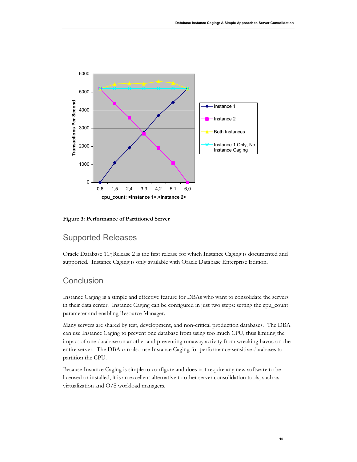

#### **Figure 3: Performance of Partitioned Server**

# Supported Releases

Oracle Database 11*g* Release 2 is the first release for which Instance Caging is documented and supported. Instance Caging is only available with Oracle Database Enterprise Edition.

# **Conclusion**

Instance Caging is a simple and effective feature for DBAs who want to consolidate the servers in their data center. Instance Caging can be configured in just two steps: setting the cpu\_count parameter and enabling Resource Manager.

Many servers are shared by test, development, and non-critical production databases. The DBA can use Instance Caging to prevent one database from using too much CPU, thus limiting the impact of one database on another and preventing runaway activity from wreaking havoc on the entire server. The DBA can also use Instance Caging for performance-sensitive databases to partition the CPU.

Because Instance Caging is simple to configure and does not require any new software to be licensed or installed, it is an excellent alternative to other server consolidation tools, such as virtualization and O/S workload managers.